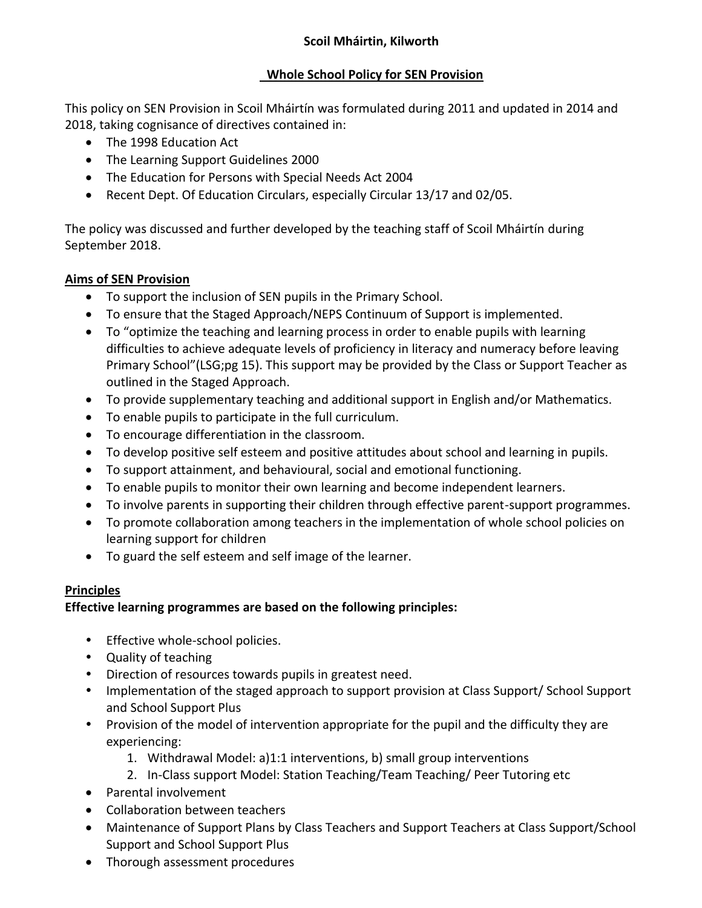#### **Scoil Mháirtin, Kilworth**

### **Whole School Policy for SEN Provision**

This policy on SEN Provision in Scoil Mháirtín was formulated during 2011 and updated in 2014 and 2018, taking cognisance of directives contained in:

- The 1998 Education Act
- The Learning Support Guidelines 2000
- The Education for Persons with Special Needs Act 2004
- Recent Dept. Of Education Circulars, especially Circular 13/17 and 02/05.

The policy was discussed and further developed by the teaching staff of Scoil Mháirtín during September 2018.

## **Aims of SEN Provision**

- To support the inclusion of SEN pupils in the Primary School.
- To ensure that the Staged Approach/NEPS Continuum of Support is implemented.
- To "optimize the teaching and learning process in order to enable pupils with learning difficulties to achieve adequate levels of proficiency in literacy and numeracy before leaving Primary School"(LSG;pg 15). This support may be provided by the Class or Support Teacher as outlined in the Staged Approach.
- To provide supplementary teaching and additional support in English and/or Mathematics.
- To enable pupils to participate in the full curriculum.
- To encourage differentiation in the classroom.
- To develop positive self esteem and positive attitudes about school and learning in pupils.
- To support attainment, and behavioural, social and emotional functioning.
- To enable pupils to monitor their own learning and become independent learners.
- To involve parents in supporting their children through effective parent-support programmes.
- To promote collaboration among teachers in the implementation of whole school policies on learning support for children
- To guard the self esteem and self image of the learner.

#### **Principles**

## **Effective learning programmes are based on the following principles:**

- Effective whole-school policies.
- Quality of teaching
- Direction of resources towards pupils in greatest need.
- Implementation of the staged approach to support provision at Class Support/ School Support and School Support Plus
- Provision of the model of intervention appropriate for the pupil and the difficulty they are experiencing:
	- 1. Withdrawal Model: a)1:1 interventions, b) small group interventions
	- 2. In-Class support Model: Station Teaching/Team Teaching/ Peer Tutoring etc
- Parental involvement
- Collaboration between teachers
- Maintenance of Support Plans by Class Teachers and Support Teachers at Class Support/School Support and School Support Plus
- Thorough assessment procedures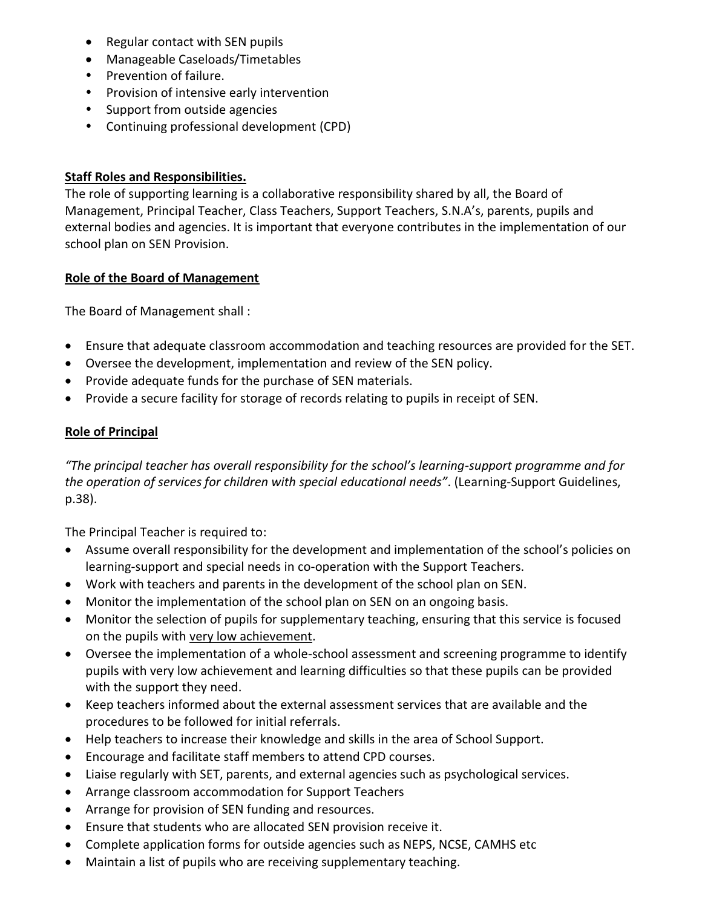- Regular contact with SEN pupils
- Manageable Caseloads/Timetables
- Prevention of failure.
- Provision of intensive early intervention
- Support from outside agencies
- Continuing professional development (CPD)

#### **Staff Roles and Responsibilities.**

The role of supporting learning is a collaborative responsibility shared by all, the Board of Management, Principal Teacher, Class Teachers, Support Teachers, S.N.A's, parents, pupils and external bodies and agencies. It is important that everyone contributes in the implementation of our school plan on SEN Provision.

### **Role of the Board of Management**

The Board of Management shall :

- Ensure that adequate classroom accommodation and teaching resources are provided for the SET.
- Oversee the development, implementation and review of the SEN policy.
- Provide adequate funds for the purchase of SEN materials.
- Provide a secure facility for storage of records relating to pupils in receipt of SEN.

### **Role of Principal**

*"The principal teacher has overall responsibility for the school's learning-support programme and for the operation of services for children with special educational needs"*. (Learning-Support Guidelines, p.38).

The Principal Teacher is required to:

- Assume overall responsibility for the development and implementation of the school's policies on learning-support and special needs in co-operation with the Support Teachers.
- Work with teachers and parents in the development of the school plan on SEN.
- Monitor the implementation of the school plan on SEN on an ongoing basis.
- Monitor the selection of pupils for supplementary teaching, ensuring that this service is focused on the pupils with very low achievement.
- Oversee the implementation of a whole-school assessment and screening programme to identify pupils with very low achievement and learning difficulties so that these pupils can be provided with the support they need.
- Keep teachers informed about the external assessment services that are available and the procedures to be followed for initial referrals.
- Help teachers to increase their knowledge and skills in the area of School Support.
- Encourage and facilitate staff members to attend CPD courses.
- Liaise regularly with SET, parents, and external agencies such as psychological services.
- Arrange classroom accommodation for Support Teachers
- Arrange for provision of SEN funding and resources.
- Ensure that students who are allocated SEN provision receive it.
- Complete application forms for outside agencies such as NEPS, NCSE, CAMHS etc
- Maintain a list of pupils who are receiving supplementary teaching.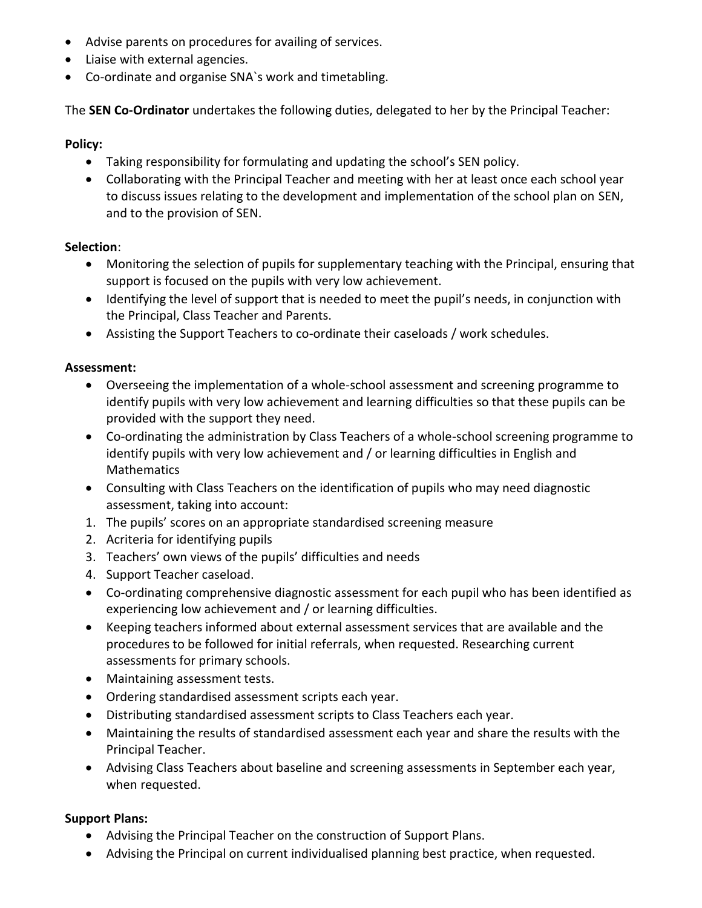- Advise parents on procedures for availing of services.
- Liaise with external agencies.
- Co-ordinate and organise SNA`s work and timetabling.

The **SEN Co-Ordinator** undertakes the following duties, delegated to her by the Principal Teacher:

#### **Policy:**

- Taking responsibility for formulating and updating the school's SEN policy.
- Collaborating with the Principal Teacher and meeting with her at least once each school year to discuss issues relating to the development and implementation of the school plan on SEN, and to the provision of SEN.

#### **Selection**:

- Monitoring the selection of pupils for supplementary teaching with the Principal, ensuring that support is focused on the pupils with very low achievement.
- Identifying the level of support that is needed to meet the pupil's needs, in conjunction with the Principal, Class Teacher and Parents.
- Assisting the Support Teachers to co-ordinate their caseloads / work schedules.

### **Assessment:**

- Overseeing the implementation of a whole-school assessment and screening programme to identify pupils with very low achievement and learning difficulties so that these pupils can be provided with the support they need.
- Co-ordinating the administration by Class Teachers of a whole-school screening programme to identify pupils with very low achievement and / or learning difficulties in English and Mathematics
- Consulting with Class Teachers on the identification of pupils who may need diagnostic assessment, taking into account:
- 1. The pupils' scores on an appropriate standardised screening measure
- 2. Acriteria for identifying pupils
- 3. Teachers' own views of the pupils' difficulties and needs
- 4. Support Teacher caseload.
- Co-ordinating comprehensive diagnostic assessment for each pupil who has been identified as experiencing low achievement and / or learning difficulties.
- Keeping teachers informed about external assessment services that are available and the procedures to be followed for initial referrals, when requested. Researching current assessments for primary schools.
- Maintaining assessment tests.
- Ordering standardised assessment scripts each year.
- Distributing standardised assessment scripts to Class Teachers each year.
- Maintaining the results of standardised assessment each year and share the results with the Principal Teacher.
- Advising Class Teachers about baseline and screening assessments in September each year, when requested.

#### **Support Plans:**

- Advising the Principal Teacher on the construction of Support Plans.
- Advising the Principal on current individualised planning best practice, when requested.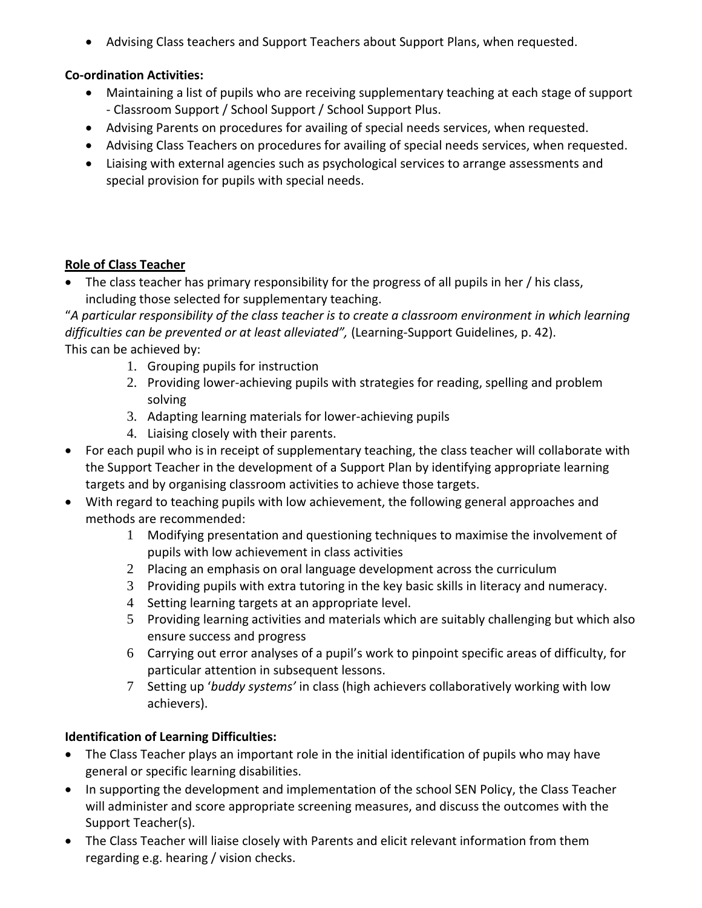Advising Class teachers and Support Teachers about Support Plans, when requested.

### **Co-ordination Activities:**

- Maintaining a list of pupils who are receiving supplementary teaching at each stage of support - Classroom Support / School Support / School Support Plus.
- Advising Parents on procedures for availing of special needs services, when requested.
- Advising Class Teachers on procedures for availing of special needs services, when requested.
- Liaising with external agencies such as psychological services to arrange assessments and special provision for pupils with special needs.

### **Role of Class Teacher**

 The class teacher has primary responsibility for the progress of all pupils in her / his class, including those selected for supplementary teaching.

"*A particular responsibility of the class teacher is to create a classroom environment in which learning difficulties can be prevented or at least alleviated",* (Learning-Support Guidelines, p. 42). This can be achieved by:

- 1. Grouping pupils for instruction
- 2. Providing lower-achieving pupils with strategies for reading, spelling and problem solving
- 3. Adapting learning materials for lower-achieving pupils
- 4. Liaising closely with their parents.
- For each pupil who is in receipt of supplementary teaching, the class teacher will collaborate with the Support Teacher in the development of a Support Plan by identifying appropriate learning targets and by organising classroom activities to achieve those targets.
- With regard to teaching pupils with low achievement, the following general approaches and methods are recommended:
	- 1 Modifying presentation and questioning techniques to maximise the involvement of pupils with low achievement in class activities
	- 2 Placing an emphasis on oral language development across the curriculum
	- 3 Providing pupils with extra tutoring in the key basic skills in literacy and numeracy.
	- 4 Setting learning targets at an appropriate level.
	- 5 Providing learning activities and materials which are suitably challenging but which also ensure success and progress
	- 6 Carrying out error analyses of a pupil's work to pinpoint specific areas of difficulty, for particular attention in subsequent lessons.
	- 7 Setting up '*buddy systems'* in class (high achievers collaboratively working with low achievers).

## **Identification of Learning Difficulties:**

- The Class Teacher plays an important role in the initial identification of pupils who may have general or specific learning disabilities.
- In supporting the development and implementation of the school SEN Policy, the Class Teacher will administer and score appropriate screening measures, and discuss the outcomes with the Support Teacher(s).
- The Class Teacher will liaise closely with Parents and elicit relevant information from them regarding e.g. hearing / vision checks.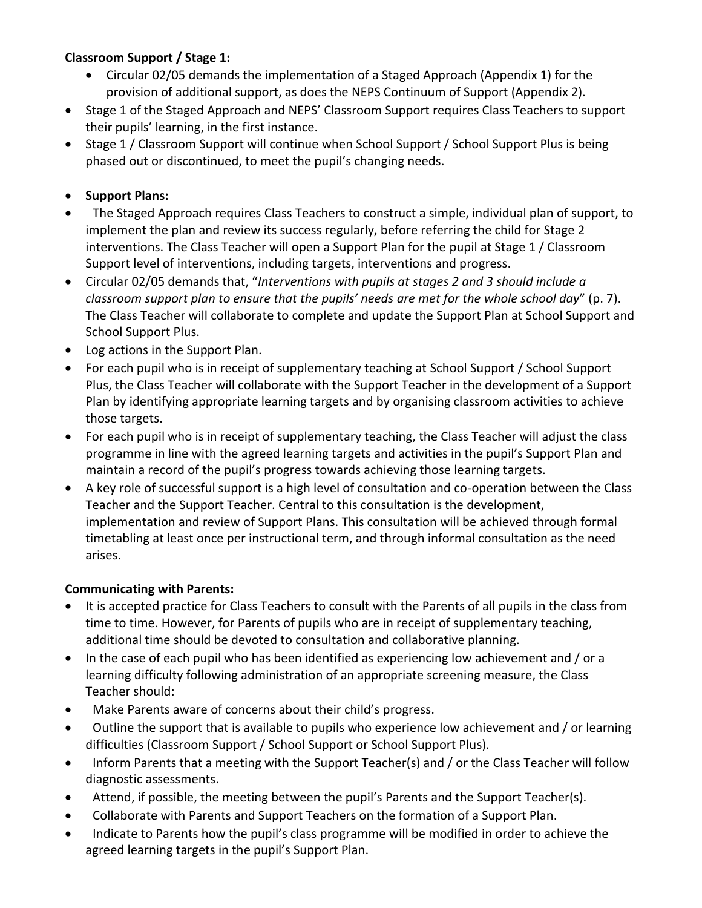## **Classroom Support / Stage 1:**

- Circular 02/05 demands the implementation of a Staged Approach (Appendix 1) for the provision of additional support, as does the NEPS Continuum of Support (Appendix 2).
- Stage 1 of the Staged Approach and NEPS' Classroom Support requires Class Teachers to support their pupils' learning, in the first instance.
- Stage 1 / Classroom Support will continue when School Support / School Support Plus is being phased out or discontinued, to meet the pupil's changing needs.

## **•** Support Plans:

- The Staged Approach requires Class Teachers to construct a simple, individual plan of support, to implement the plan and review its success regularly, before referring the child for Stage 2 interventions. The Class Teacher will open a Support Plan for the pupil at Stage 1 / Classroom Support level of interventions, including targets, interventions and progress.
- Circular 02/05 demands that, "*Interventions with pupils at stages 2 and 3 should include a classroom support plan to ensure that the pupils' needs are met for the whole school day*" (p. 7). The Class Teacher will collaborate to complete and update the Support Plan at School Support and School Support Plus.
- Log actions in the Support Plan.
- For each pupil who is in receipt of supplementary teaching at School Support / School Support Plus, the Class Teacher will collaborate with the Support Teacher in the development of a Support Plan by identifying appropriate learning targets and by organising classroom activities to achieve those targets.
- For each pupil who is in receipt of supplementary teaching, the Class Teacher will adjust the class programme in line with the agreed learning targets and activities in the pupil's Support Plan and maintain a record of the pupil's progress towards achieving those learning targets.
- A key role of successful support is a high level of consultation and co-operation between the Class Teacher and the Support Teacher. Central to this consultation is the development, implementation and review of Support Plans. This consultation will be achieved through formal timetabling at least once per instructional term, and through informal consultation as the need arises.

#### **Communicating with Parents:**

- It is accepted practice for Class Teachers to consult with the Parents of all pupils in the class from time to time. However, for Parents of pupils who are in receipt of supplementary teaching, additional time should be devoted to consultation and collaborative planning.
- In the case of each pupil who has been identified as experiencing low achievement and / or a learning difficulty following administration of an appropriate screening measure, the Class Teacher should:
- Make Parents aware of concerns about their child's progress.
- Outline the support that is available to pupils who experience low achievement and / or learning difficulties (Classroom Support / School Support or School Support Plus).
- Inform Parents that a meeting with the Support Teacher(s) and / or the Class Teacher will follow diagnostic assessments.
- Attend, if possible, the meeting between the pupil's Parents and the Support Teacher(s).
- Collaborate with Parents and Support Teachers on the formation of a Support Plan.
- Indicate to Parents how the pupil's class programme will be modified in order to achieve the agreed learning targets in the pupil's Support Plan.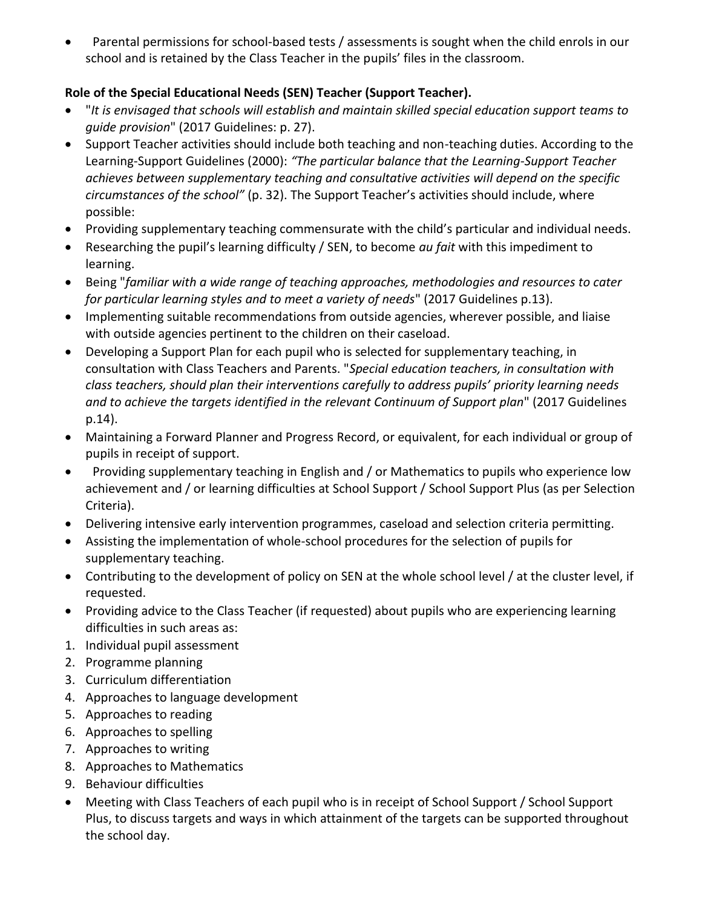Parental permissions for school-based tests / assessments is sought when the child enrols in our school and is retained by the Class Teacher in the pupils' files in the classroom.

## **Role of the Special Educational Needs (SEN) Teacher (Support Teacher).**

- "*It is envisaged that schools will establish and maintain skilled special education support teams to guide provision*" (2017 Guidelines: p. 27).
- Support Teacher activities should include both teaching and non-teaching duties. According to the Learning-Support Guidelines (2000): *"The particular balance that the Learning-Support Teacher achieves between supplementary teaching and consultative activities will depend on the specific circumstances of the school"* (p. 32). The Support Teacher's activities should include, where possible:
- Providing supplementary teaching commensurate with the child's particular and individual needs.
- Researching the pupil's learning difficulty / SEN, to become *au fait* with this impediment to learning.
- Being "*familiar with a wide range of teaching approaches, methodologies and resources to cater for particular learning styles and to meet a variety of needs*" (2017 Guidelines p.13).
- Implementing suitable recommendations from outside agencies, wherever possible, and liaise with outside agencies pertinent to the children on their caseload.
- Developing a Support Plan for each pupil who is selected for supplementary teaching, in consultation with Class Teachers and Parents. "*Special education teachers, in consultation with class teachers, should plan their interventions carefully to address pupils' priority learning needs and to achieve the targets identified in the relevant Continuum of Support plan*" (2017 Guidelines p.14).
- Maintaining a Forward Planner and Progress Record, or equivalent, for each individual or group of pupils in receipt of support.
- Providing supplementary teaching in English and / or Mathematics to pupils who experience low achievement and / or learning difficulties at School Support / School Support Plus (as per Selection Criteria).
- Delivering intensive early intervention programmes, caseload and selection criteria permitting.
- Assisting the implementation of whole-school procedures for the selection of pupils for supplementary teaching.
- Contributing to the development of policy on SEN at the whole school level / at the cluster level, if requested.
- Providing advice to the Class Teacher (if requested) about pupils who are experiencing learning difficulties in such areas as:
- 1. Individual pupil assessment
- 2. Programme planning
- 3. Curriculum differentiation
- 4. Approaches to language development
- 5. Approaches to reading
- 6. Approaches to spelling
- 7. Approaches to writing
- 8. Approaches to Mathematics
- 9. Behaviour difficulties
- Meeting with Class Teachers of each pupil who is in receipt of School Support / School Support Plus, to discuss targets and ways in which attainment of the targets can be supported throughout the school day.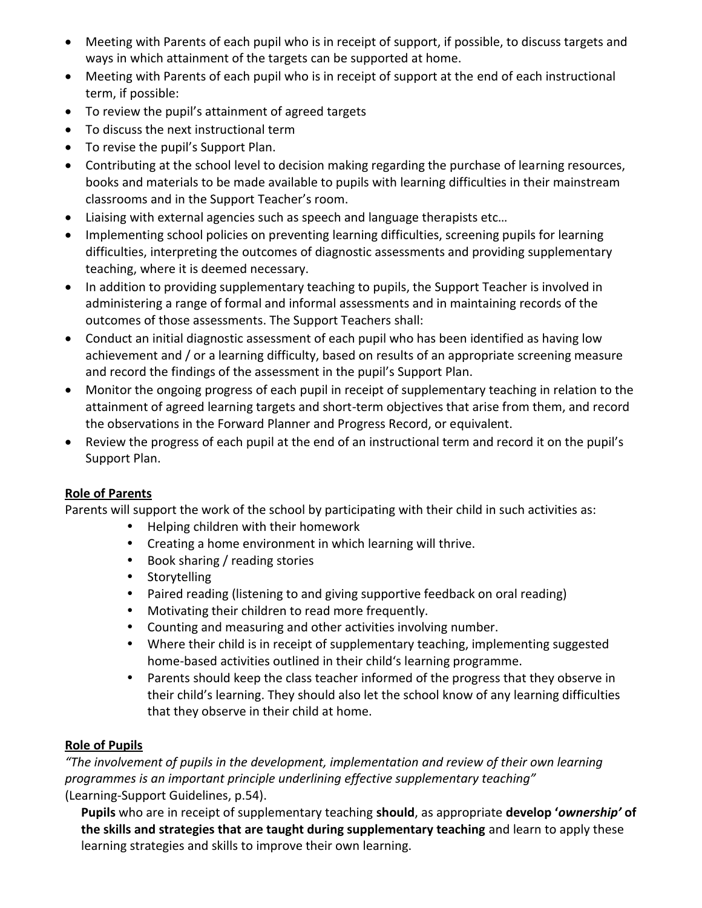- Meeting with Parents of each pupil who is in receipt of support, if possible, to discuss targets and ways in which attainment of the targets can be supported at home.
- Meeting with Parents of each pupil who is in receipt of support at the end of each instructional term, if possible:
- To review the pupil's attainment of agreed targets
- To discuss the next instructional term
- To revise the pupil's Support Plan.
- Contributing at the school level to decision making regarding the purchase of learning resources, books and materials to be made available to pupils with learning difficulties in their mainstream classrooms and in the Support Teacher's room.
- Liaising with external agencies such as speech and language therapists etc…
- Implementing school policies on preventing learning difficulties, screening pupils for learning difficulties, interpreting the outcomes of diagnostic assessments and providing supplementary teaching, where it is deemed necessary.
- In addition to providing supplementary teaching to pupils, the Support Teacher is involved in administering a range of formal and informal assessments and in maintaining records of the outcomes of those assessments. The Support Teachers shall:
- Conduct an initial diagnostic assessment of each pupil who has been identified as having low achievement and / or a learning difficulty, based on results of an appropriate screening measure and record the findings of the assessment in the pupil's Support Plan.
- Monitor the ongoing progress of each pupil in receipt of supplementary teaching in relation to the attainment of agreed learning targets and short-term objectives that arise from them, and record the observations in the Forward Planner and Progress Record, or equivalent.
- Review the progress of each pupil at the end of an instructional term and record it on the pupil's Support Plan.

## **Role of Parents**

Parents will support the work of the school by participating with their child in such activities as:

- Helping children with their homework
- Creating a home environment in which learning will thrive.
- Book sharing / reading stories
- Storytelling
- Paired reading (listening to and giving supportive feedback on oral reading)
- Motivating their children to read more frequently.
- Counting and measuring and other activities involving number.
- Where their child is in receipt of supplementary teaching, implementing suggested home-based activities outlined in their child's learning programme.
- Parents should keep the class teacher informed of the progress that they observe in their child's learning. They should also let the school know of any learning difficulties that they observe in their child at home.

#### **Role of Pupils**

*"The involvement of pupils in the development, implementation and review of their own learning programmes is an important principle underlining effective supplementary teaching"* (Learning-Support Guidelines, p.54).

**Pupils** who are in receipt of supplementary teaching **should**, as appropriate **develop '***ownership'* **of the skills and strategies that are taught during supplementary teaching** and learn to apply these learning strategies and skills to improve their own learning.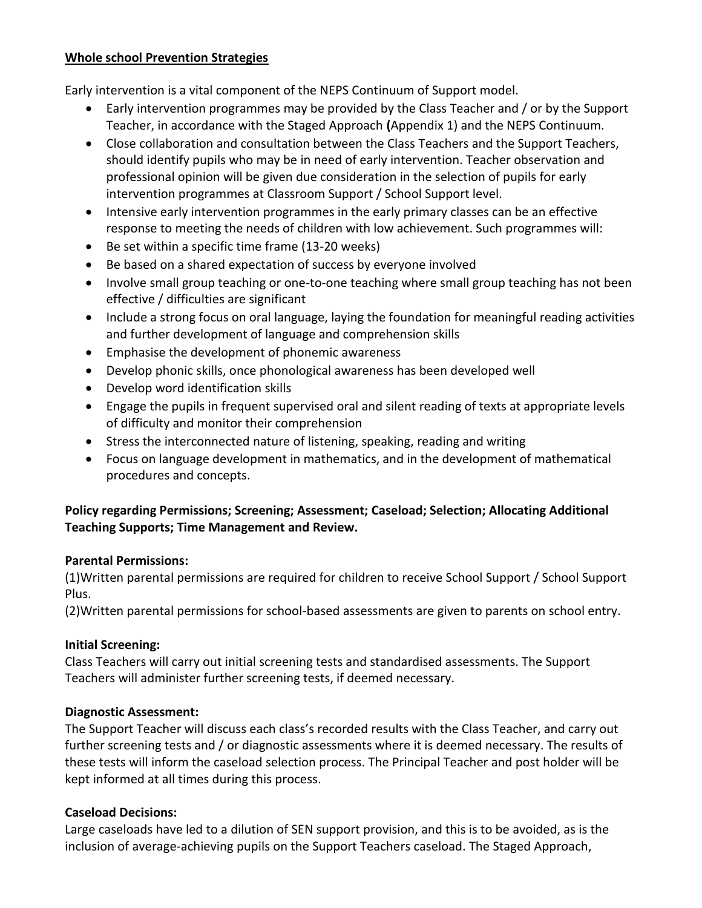#### **Whole school Prevention Strategies**

Early intervention is a vital component of the NEPS Continuum of Support model.

- Early intervention programmes may be provided by the Class Teacher and / or by the Support Teacher, in accordance with the Staged Approach **(**Appendix 1) and the NEPS Continuum.
- Close collaboration and consultation between the Class Teachers and the Support Teachers, should identify pupils who may be in need of early intervention. Teacher observation and professional opinion will be given due consideration in the selection of pupils for early intervention programmes at Classroom Support / School Support level.
- Intensive early intervention programmes in the early primary classes can be an effective response to meeting the needs of children with low achievement. Such programmes will:
- Be set within a specific time frame (13-20 weeks)
- Be based on a shared expectation of success by everyone involved
- Involve small group teaching or one-to-one teaching where small group teaching has not been effective / difficulties are significant
- Include a strong focus on oral language, laying the foundation for meaningful reading activities and further development of language and comprehension skills
- Emphasise the development of phonemic awareness
- Develop phonic skills, once phonological awareness has been developed well
- Develop word identification skills
- Engage the pupils in frequent supervised oral and silent reading of texts at appropriate levels of difficulty and monitor their comprehension
- Stress the interconnected nature of listening, speaking, reading and writing
- Focus on language development in mathematics, and in the development of mathematical procedures and concepts.

## **Policy regarding Permissions; Screening; Assessment; Caseload; Selection; Allocating Additional Teaching Supports; Time Management and Review.**

## **Parental Permissions:**

(1)Written parental permissions are required for children to receive School Support / School Support Plus.

(2)Written parental permissions for school-based assessments are given to parents on school entry.

## **Initial Screening:**

Class Teachers will carry out initial screening tests and standardised assessments. The Support Teachers will administer further screening tests, if deemed necessary.

## **Diagnostic Assessment:**

The Support Teacher will discuss each class's recorded results with the Class Teacher, and carry out further screening tests and / or diagnostic assessments where it is deemed necessary. The results of these tests will inform the caseload selection process. The Principal Teacher and post holder will be kept informed at all times during this process.

## **Caseload Decisions:**

Large caseloads have led to a dilution of SEN support provision, and this is to be avoided, as is the inclusion of average-achieving pupils on the Support Teachers caseload. The Staged Approach,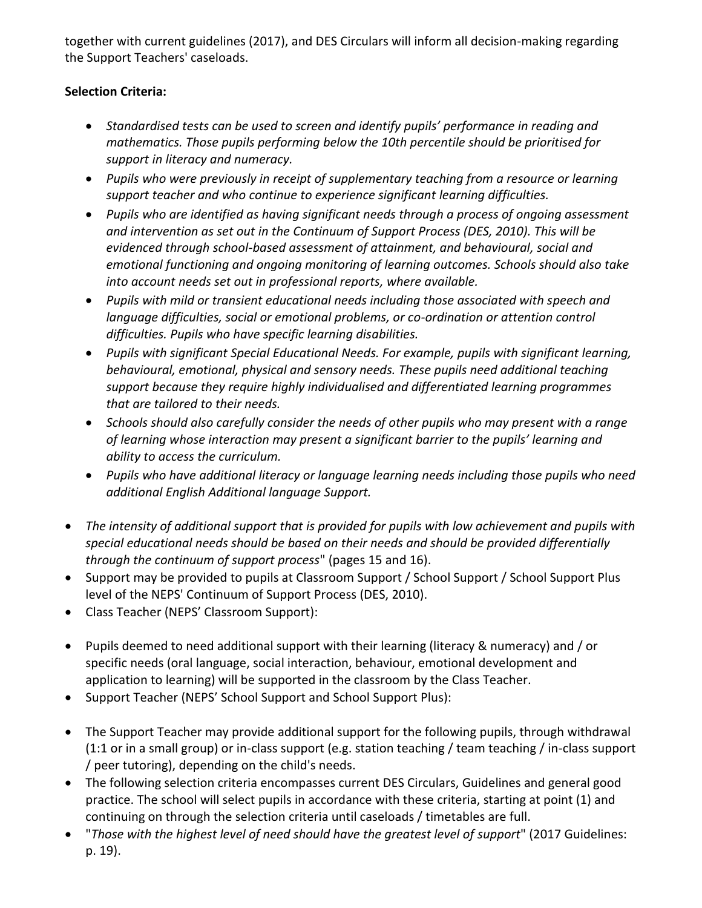together with current guidelines (2017), and DES Circulars will inform all decision-making regarding the Support Teachers' caseloads.

## **Selection Criteria:**

- *Standardised tests can be used to screen and identify pupils' performance in reading and mathematics. Those pupils performing below the 10th percentile should be prioritised for support in literacy and numeracy.*
- *Pupils who were previously in receipt of supplementary teaching from a resource or learning support teacher and who continue to experience significant learning difficulties.*
- *Pupils who are identified as having significant needs through a process of ongoing assessment and intervention as set out in the Continuum of Support Process (DES, 2010). This will be evidenced through school-based assessment of attainment, and behavioural, social and emotional functioning and ongoing monitoring of learning outcomes. Schools should also take into account needs set out in professional reports, where available.*
- *Pupils with mild or transient educational needs including those associated with speech and language difficulties, social or emotional problems, or co-ordination or attention control difficulties. Pupils who have specific learning disabilities.*
- *Pupils with significant Special Educational Needs. For example, pupils with significant learning, behavioural, emotional, physical and sensory needs. These pupils need additional teaching support because they require highly individualised and differentiated learning programmes that are tailored to their needs.*
- *Schools should also carefully consider the needs of other pupils who may present with a range of learning whose interaction may present a significant barrier to the pupils' learning and ability to access the curriculum.*
- *Pupils who have additional literacy or language learning needs including those pupils who need additional English Additional language Support.*
- *The intensity of additional support that is provided for pupils with low achievement and pupils with special educational needs should be based on their needs and should be provided differentially through the continuum of support process*" (pages 15 and 16).
- Support may be provided to pupils at Classroom Support / School Support / School Support Plus level of the NEPS' Continuum of Support Process (DES, 2010).
- Class Teacher (NEPS' Classroom Support):
- Pupils deemed to need additional support with their learning (literacy & numeracy) and / or specific needs (oral language, social interaction, behaviour, emotional development and application to learning) will be supported in the classroom by the Class Teacher.
- Support Teacher (NEPS' School Support and School Support Plus):
- The Support Teacher may provide additional support for the following pupils, through withdrawal (1:1 or in a small group) or in-class support (e.g. station teaching / team teaching / in-class support / peer tutoring), depending on the child's needs.
- The following selection criteria encompasses current DES Circulars, Guidelines and general good practice. The school will select pupils in accordance with these criteria, starting at point (1) and continuing on through the selection criteria until caseloads / timetables are full.
- "*Those with the highest level of need should have the greatest level of support*" (2017 Guidelines: p. 19).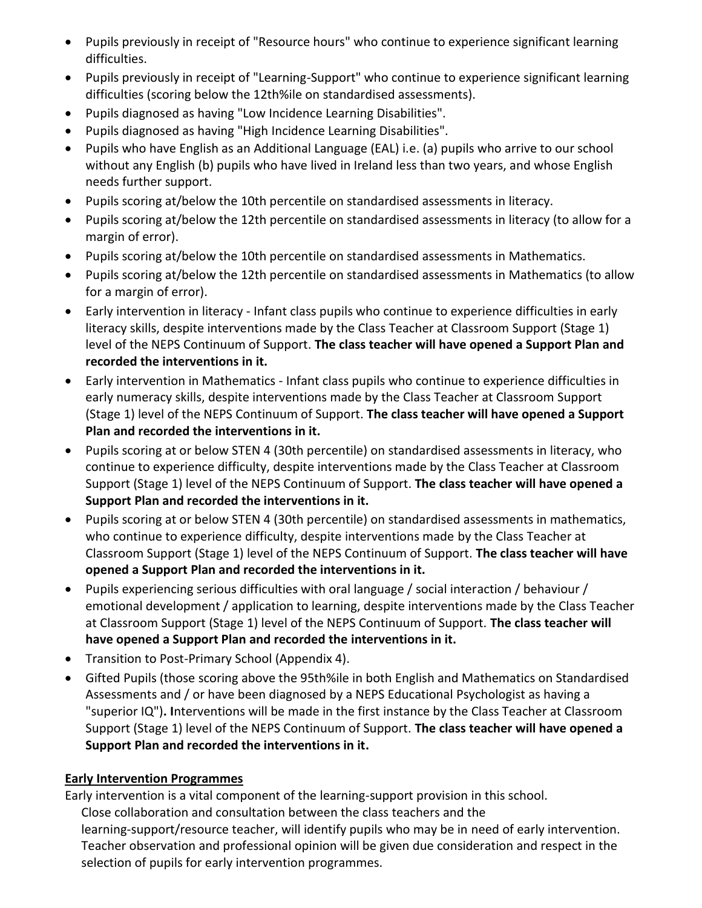- Pupils previously in receipt of "Resource hours" who continue to experience significant learning difficulties.
- Pupils previously in receipt of "Learning-Support" who continue to experience significant learning difficulties (scoring below the 12th%ile on standardised assessments).
- Pupils diagnosed as having "Low Incidence Learning Disabilities".
- Pupils diagnosed as having "High Incidence Learning Disabilities".
- Pupils who have English as an Additional Language (EAL) i.e. (a) pupils who arrive to our school without any English (b) pupils who have lived in Ireland less than two years, and whose English needs further support.
- Pupils scoring at/below the 10th percentile on standardised assessments in literacy.
- Pupils scoring at/below the 12th percentile on standardised assessments in literacy (to allow for a margin of error).
- Pupils scoring at/below the 10th percentile on standardised assessments in Mathematics.
- Pupils scoring at/below the 12th percentile on standardised assessments in Mathematics (to allow for a margin of error).
- Early intervention in literacy Infant class pupils who continue to experience difficulties in early literacy skills, despite interventions made by the Class Teacher at Classroom Support (Stage 1) level of the NEPS Continuum of Support. **The class teacher will have opened a Support Plan and recorded the interventions in it.**
- Early intervention in Mathematics Infant class pupils who continue to experience difficulties in early numeracy skills, despite interventions made by the Class Teacher at Classroom Support (Stage 1) level of the NEPS Continuum of Support. **The class teacher will have opened a Support Plan and recorded the interventions in it.**
- Pupils scoring at or below STEN 4 (30th percentile) on standardised assessments in literacy, who continue to experience difficulty, despite interventions made by the Class Teacher at Classroom Support (Stage 1) level of the NEPS Continuum of Support. **The class teacher will have opened a Support Plan and recorded the interventions in it.**
- Pupils scoring at or below STEN 4 (30th percentile) on standardised assessments in mathematics, who continue to experience difficulty, despite interventions made by the Class Teacher at Classroom Support (Stage 1) level of the NEPS Continuum of Support. **The class teacher will have opened a Support Plan and recorded the interventions in it.**
- Pupils experiencing serious difficulties with oral language / social interaction / behaviour / emotional development / application to learning, despite interventions made by the Class Teacher at Classroom Support (Stage 1) level of the NEPS Continuum of Support. **The class teacher will have opened a Support Plan and recorded the interventions in it.**
- Transition to Post-Primary School (Appendix 4).
- Gifted Pupils (those scoring above the 95th%ile in both English and Mathematics on Standardised Assessments and / or have been diagnosed by a NEPS Educational Psychologist as having a "superior IQ")**. I**nterventions will be made in the first instance by the Class Teacher at Classroom Support (Stage 1) level of the NEPS Continuum of Support. **The class teacher will have opened a Support Plan and recorded the interventions in it.**

## **Early Intervention Programmes**

Early intervention is a vital component of the learning-support provision in this school.

Close collaboration and consultation between the class teachers and the learning-support/resource teacher, will identify pupils who may be in need of early intervention. Teacher observation and professional opinion will be given due consideration and respect in the selection of pupils for early intervention programmes.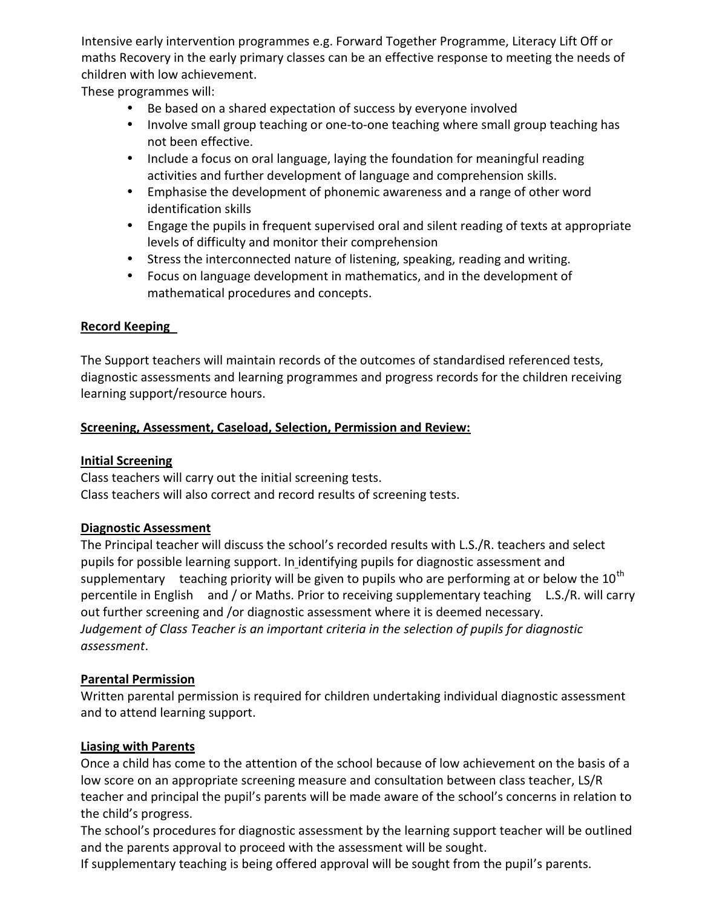Intensive early intervention programmes e.g. Forward Together Programme, Literacy Lift Off or maths Recovery in the early primary classes can be an effective response to meeting the needs of children with low achievement.

These programmes will:

- Be based on a shared expectation of success by everyone involved
- Involve small group teaching or one-to-one teaching where small group teaching has not been effective.
- Include a focus on oral language, laying the foundation for meaningful reading activities and further development of language and comprehension skills.
- Emphasise the development of phonemic awareness and a range of other word identification skills
- Engage the pupils in frequent supervised oral and silent reading of texts at appropriate levels of difficulty and monitor their comprehension
- Stress the interconnected nature of listening, speaking, reading and writing.
- Focus on language development in mathematics, and in the development of mathematical procedures and concepts.

#### **Record Keeping**

The Support teachers will maintain records of the outcomes of standardised referenced tests, diagnostic assessments and learning programmes and progress records for the children receiving learning support/resource hours.

#### **Screening, Assessment, Caseload, Selection, Permission and Review:**

#### **Initial Screening**

Class teachers will carry out the initial screening tests. Class teachers will also correct and record results of screening tests.

#### **Diagnostic Assessment**

The Principal teacher will discuss the school's recorded results with L.S./R. teachers and select pupils for possible learning support. In identifying pupils for diagnostic assessment and supplementary teaching priority will be given to pupils who are performing at or below the  $10^{th}$ percentile in English and / or Maths. Prior to receiving supplementary teaching L.S./R. will carry out further screening and /or diagnostic assessment where it is deemed necessary. *Judgement of Class Teacher is an important criteria in the selection of pupils for diagnostic assessment*.

#### **Parental Permission**

Written parental permission is required for children undertaking individual diagnostic assessment and to attend learning support.

## **Liasing with Parents**

Once a child has come to the attention of the school because of low achievement on the basis of a low score on an appropriate screening measure and consultation between class teacher, LS/R teacher and principal the pupil's parents will be made aware of the school's concerns in relation to the child's progress.

The school's procedures for diagnostic assessment by the learning support teacher will be outlined and the parents approval to proceed with the assessment will be sought.

If supplementary teaching is being offered approval will be sought from the pupil's parents.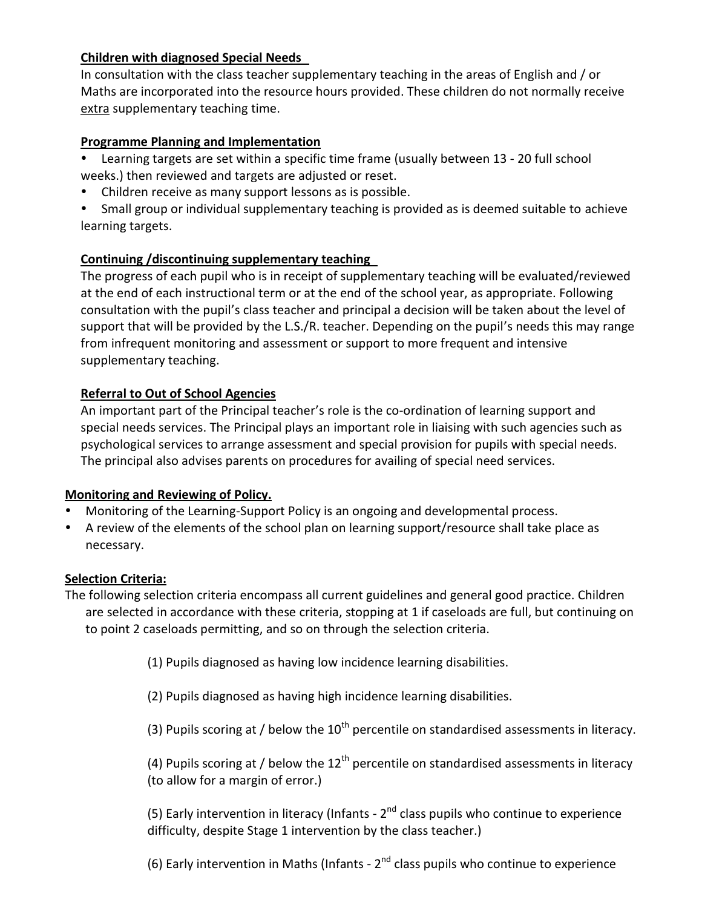#### **Children with diagnosed Special Needs**

In consultation with the class teacher supplementary teaching in the areas of English and / or Maths are incorporated into the resource hours provided. These children do not normally receive extra supplementary teaching time.

#### **Programme Planning and Implementation**

- Learning targets are set within a specific time frame (usually between 13 20 full school weeks.) then reviewed and targets are adjusted or reset.
- Children receive as many support lessons as is possible.
- Small group or individual supplementary teaching is provided as is deemed suitable to achieve learning targets.

#### **Continuing /discontinuing supplementary teaching**

The progress of each pupil who is in receipt of supplementary teaching will be evaluated/reviewed at the end of each instructional term or at the end of the school year, as appropriate. Following consultation with the pupil's class teacher and principal a decision will be taken about the level of support that will be provided by the L.S./R. teacher. Depending on the pupil's needs this may range from infrequent monitoring and assessment or support to more frequent and intensive supplementary teaching.

### **Referral to Out of School Agencies**

An important part of the Principal teacher's role is the co-ordination of learning support and special needs services. The Principal plays an important role in liaising with such agencies such as psychological services to arrange assessment and special provision for pupils with special needs. The principal also advises parents on procedures for availing of special need services.

#### **Monitoring and Reviewing of Policy.**

- Monitoring of the Learning-Support Policy is an ongoing and developmental process.
- A review of the elements of the school plan on learning support/resource shall take place as necessary.

#### **Selection Criteria:**

The following selection criteria encompass all current guidelines and general good practice. Children are selected in accordance with these criteria, stopping at 1 if caseloads are full, but continuing on to point 2 caseloads permitting, and so on through the selection criteria.

(1) Pupils diagnosed as having low incidence learning disabilities.

(2) Pupils diagnosed as having high incidence learning disabilities.

(3) Pupils scoring at / below the  $10^{th}$  percentile on standardised assessments in literacy.

(4) Pupils scoring at / below the  $12<sup>th</sup>$  percentile on standardised assessments in literacy (to allow for a margin of error.)

(5) Early intervention in literacy (Infants -  $2^{nd}$  class pupils who continue to experience difficulty, despite Stage 1 intervention by the class teacher.)

(6) Early intervention in Maths (Infants -  $2^{nd}$  class pupils who continue to experience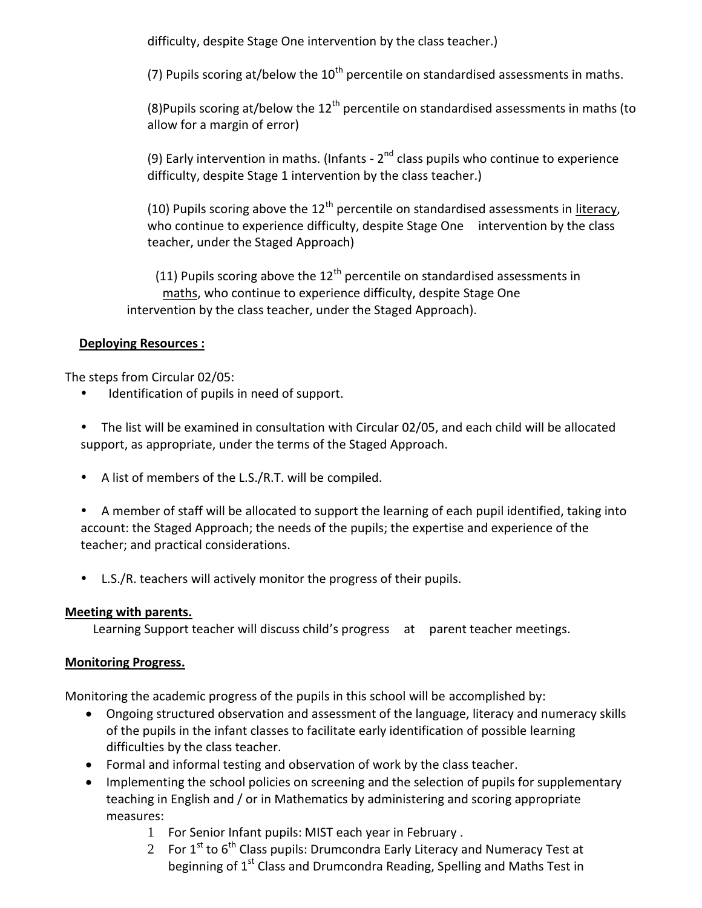difficulty, despite Stage One intervention by the class teacher.)

(7) Pupils scoring at/below the  $10^{th}$  percentile on standardised assessments in maths.

(8)Pupils scoring at/below the  $12<sup>th</sup>$  percentile on standardised assessments in maths (to allow for a margin of error)

(9) Early intervention in maths. (Infants -  $2^{nd}$  class pupils who continue to experience difficulty, despite Stage 1 intervention by the class teacher.)

(10) Pupils scoring above the  $12<sup>th</sup>$  percentile on standardised assessments in literacy, who continue to experience difficulty, despite Stage One intervention by the class teacher, under the Staged Approach)

(11) Pupils scoring above the 12<sup>th</sup> percentile on standardised assessments in maths, who continue to experience difficulty, despite Stage One intervention by the class teacher, under the Staged Approach).

## **Deploying Resources :**

The steps from Circular 02/05:

Identification of pupils in need of support.

 The list will be examined in consultation with Circular 02/05, and each child will be allocated support, as appropriate, under the terms of the Staged Approach.

A list of members of the L.S./R.T. will be compiled.

 A member of staff will be allocated to support the learning of each pupil identified, taking into account: the Staged Approach; the needs of the pupils; the expertise and experience of the teacher; and practical considerations.

L.S./R. teachers will actively monitor the progress of their pupils.

## **Meeting with parents.**

Learning Support teacher will discuss child's progress at parent teacher meetings.

## **Monitoring Progress.**

Monitoring the academic progress of the pupils in this school will be accomplished by:

- Ongoing structured observation and assessment of the language, literacy and numeracy skills of the pupils in the infant classes to facilitate early identification of possible learning difficulties by the class teacher.
- Formal and informal testing and observation of work by the class teacher.
- Implementing the school policies on screening and the selection of pupils for supplementary teaching in English and / or in Mathematics by administering and scoring appropriate measures:
	- 1 For Senior Infant pupils: MIST each year in February .
	- 2 For  $1<sup>st</sup>$  to  $6<sup>th</sup>$  Class pupils: Drumcondra Early Literacy and Numeracy Test at beginning of 1<sup>st</sup> Class and Drumcondra Reading, Spelling and Maths Test in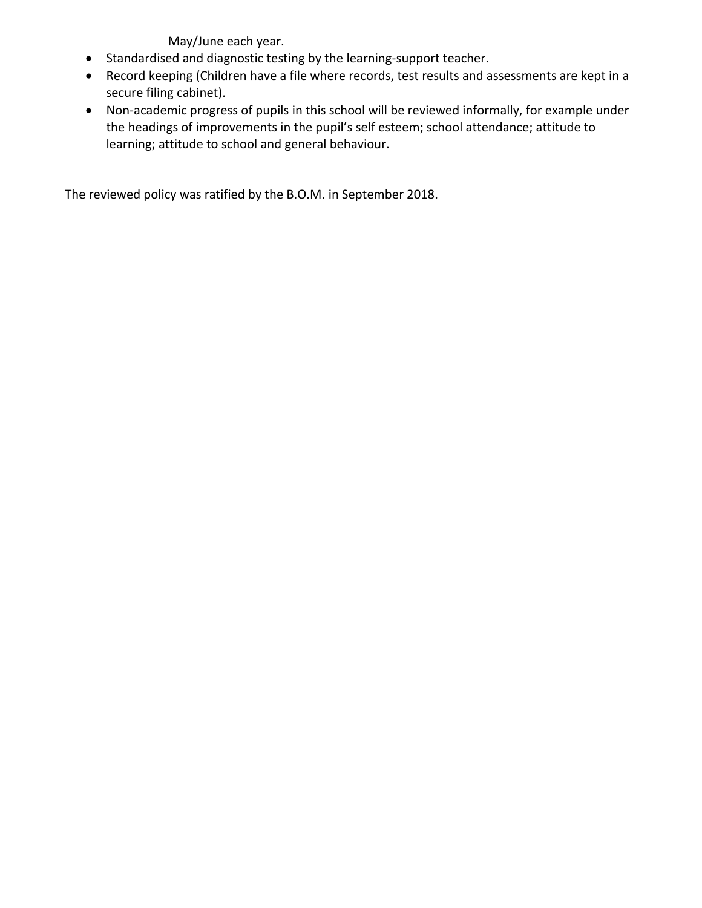May/June each year.

- Standardised and diagnostic testing by the learning-support teacher.
- Record keeping (Children have a file where records, test results and assessments are kept in a secure filing cabinet).
- Non-academic progress of pupils in this school will be reviewed informally, for example under the headings of improvements in the pupil's self esteem; school attendance; attitude to learning; attitude to school and general behaviour.

The reviewed policy was ratified by the B.O.M. in September 2018.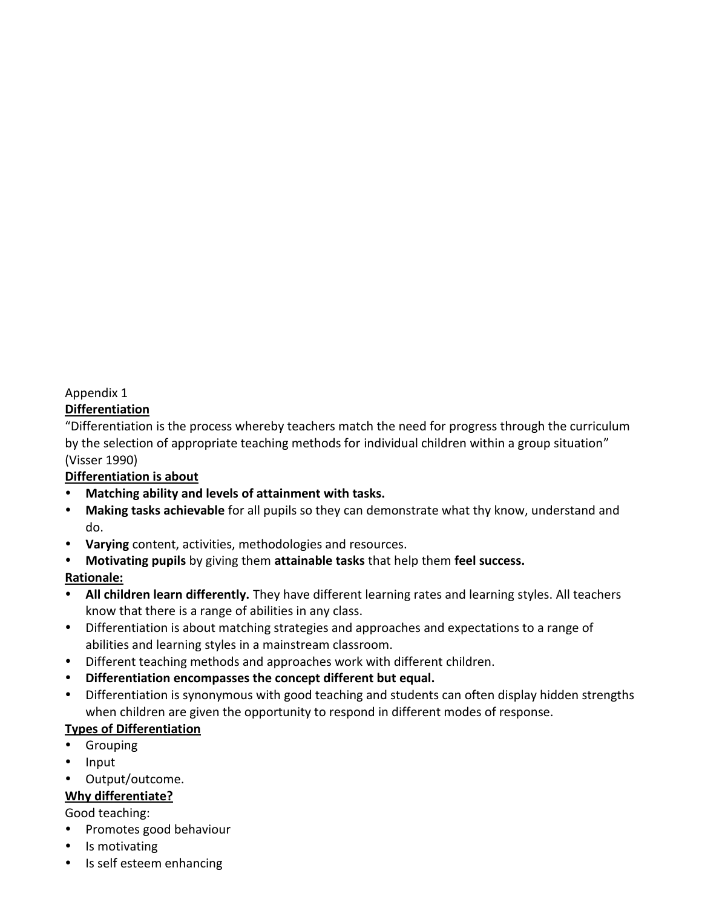### Appendix 1

#### **Differentiation**

"Differentiation is the process whereby teachers match the need for progress through the curriculum by the selection of appropriate teaching methods for individual children within a group situation" (Visser 1990)

#### **Differentiation is about**

- **Matching ability and levels of attainment with tasks.**
- **Making tasks achievable** for all pupils so they can demonstrate what thy know, understand and do.
- **Varying** content, activities, methodologies and resources.
- **Motivating pupils** by giving them **attainable tasks** that help them **feel success.**

#### **Rationale:**

- **All children learn differently.** They have different learning rates and learning styles. All teachers know that there is a range of abilities in any class.
- Differentiation is about matching strategies and approaches and expectations to a range of abilities and learning styles in a mainstream classroom.
- Different teaching methods and approaches work with different children.
- **Differentiation encompasses the concept different but equal.**
- Differentiation is synonymous with good teaching and students can often display hidden strengths when children are given the opportunity to respond in different modes of response.

## **Types of Differentiation**

- Grouping
- Input
- Output/outcome.

## **Why differentiate?**

#### Good teaching:

- Promotes good behaviour
- Is motivating
- Is self esteem enhancing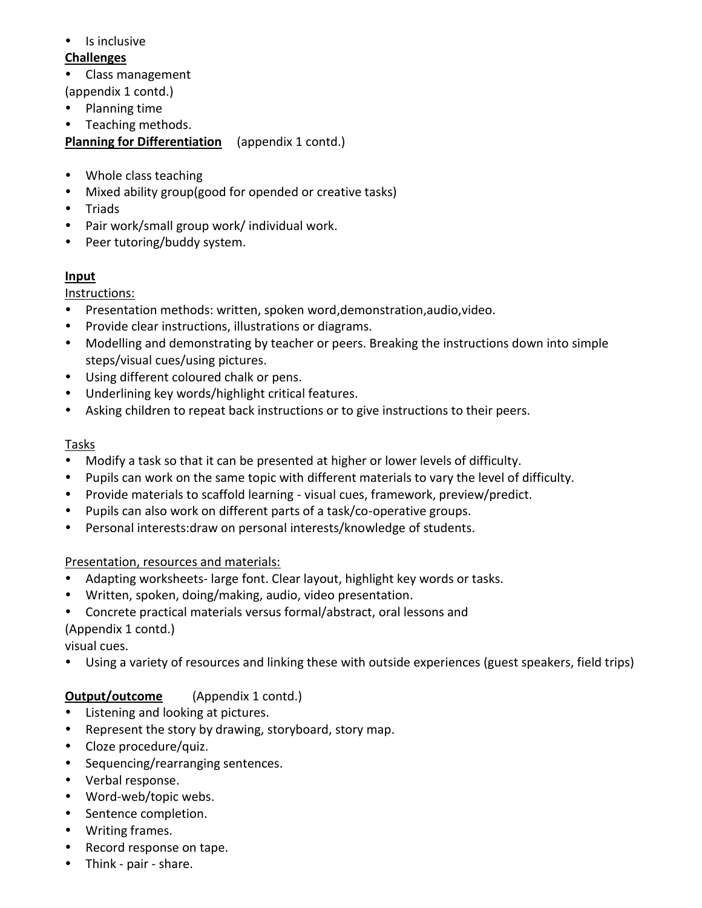• Is inclusive

## **Challenges**

- Class management
- (appendix 1 contd.)
- Planning time
- Teaching methods.

## **Planning for Differentiation** (appendix 1 contd.)

- Whole class teaching
- Mixed ability group(good for opended or creative tasks)
- Triads
- Pair work/small group work/ individual work.
- Peer tutoring/buddy system.

## **Input**

## Instructions:

- Presentation methods: written, spoken word,demonstration,audio,video.
- Provide clear instructions, illustrations or diagrams.
- Modelling and demonstrating by teacher or peers. Breaking the instructions down into simple steps/visual cues/using pictures.
- Using different coloured chalk or pens.
- Underlining key words/highlight critical features.
- Asking children to repeat back instructions or to give instructions to their peers.

## **Tasks**

- Modify a task so that it can be presented at higher or lower levels of difficulty.
- Pupils can work on the same topic with different materials to vary the level of difficulty.
- Provide materials to scaffold learning visual cues, framework, preview/predict.
- Pupils can also work on different parts of a task/co-operative groups.
- Personal interests:draw on personal interests/knowledge of students.

## Presentation, resources and materials:

- Adapting worksheets- large font. Clear layout, highlight key words or tasks.
- Written, spoken, doing/making, audio, video presentation.
- Concrete practical materials versus formal/abstract, oral lessons and (Appendix 1 contd.)

visual cues.

Using a variety of resources and linking these with outside experiences (guest speakers, field trips)

# **Output/outcome** (Appendix 1 contd.)

- Listening and looking at pictures.
- Represent the story by drawing, storyboard, story map.
- Cloze procedure/quiz.
- Sequencing/rearranging sentences.
- Verbal response.
- Word-web/topic webs.
- Sentence completion.
- Writing frames.
- Record response on tape.
- Think pair share.